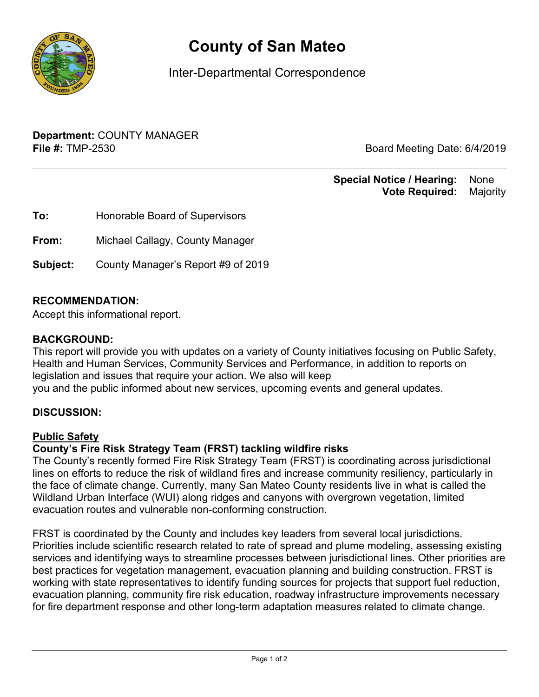

# **County of San Mateo**

Inter-Departmental Correspondence

**Department:** COUNTY MANAGER **File #:** TMP-2530 **Board Meeting Date: 6/4/2019** 

#### **Special Notice / Hearing:** None\_\_ **Vote Required:** Majority

| To:      | Honorable Board of Supervisors     |
|----------|------------------------------------|
| From:    | Michael Callagy, County Manager    |
| Subject: | County Manager's Report #9 of 2019 |

#### **RECOMMENDATION:**

Accept this informational report.

#### **BACKGROUND:**

This report will provide you with updates on a variety of County initiatives focusing on Public Safety, Health and Human Services, Community Services and Performance, in addition to reports on legislation and issues that require your action. We also will keep you and the public informed about new services, upcoming events and general updates.

#### **DISCUSSION:**

#### **Public Safety**

#### **County's Fire Risk Strategy Team (FRST) tackling wildfire risks**

The County's recently formed Fire Risk Strategy Team (FRST) is coordinating across jurisdictional lines on efforts to reduce the risk of wildland fires and increase community resiliency, particularly in the face of climate change. Currently, many San Mateo County residents live in what is called the Wildland Urban Interface (WUI) along ridges and canyons with overgrown vegetation, limited evacuation routes and vulnerable non-conforming construction.

FRST is coordinated by the County and includes key leaders from several local jurisdictions. Priorities include scientific research related to rate of spread and plume modeling, assessing existing services and identifying ways to streamline processes between jurisdictional lines. Other priorities are best practices for vegetation management, evacuation planning and building construction. FRST is working with state representatives to identify funding sources for projects that support fuel reduction, evacuation planning, community fire risk education, roadway infrastructure improvements necessary for fire department response and other long-term adaptation measures related to climate change.